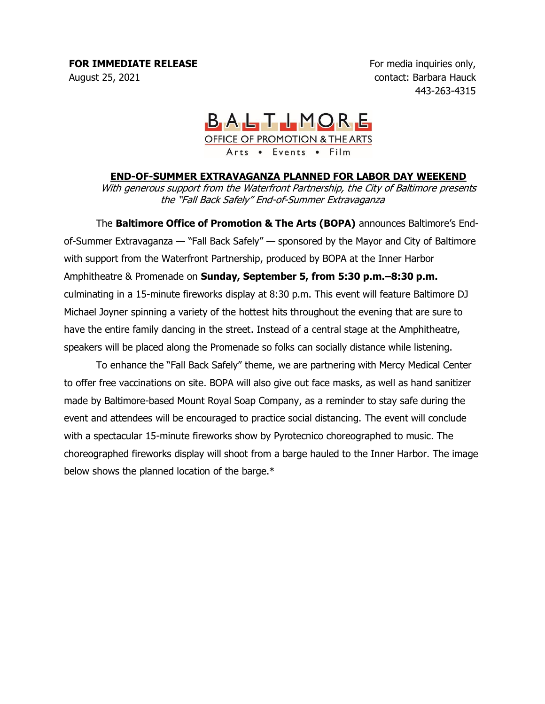For media inquiries only, contact: Barbara Hauck 443-263-4315

## $BALTLMORE$ **OFFICE OF PROMOTION & THE ARTS** Arts . Events . Film

## **END-OF-SUMMER EXTRAVAGANZA PLANNED FOR LABOR DAY WEEKEND**

With generous support from the Waterfront Partnership, the City of Baltimore presents the "Fall Back Safely" End-of-Summer Extravaganza

The **Baltimore Office of Promotion & The Arts (BOPA)** announces Baltimore's Endof-Summer Extravaganza — "Fall Back Safely" — sponsored by the Mayor and City of Baltimore with support from the Waterfront Partnership, produced by BOPA at the Inner Harbor Amphitheatre & Promenade on **Sunday, September 5, from 5:30 p.m.–8:30 p.m.** culminating in a 15-minute fireworks display at 8:30 p.m. This event will feature Baltimore DJ Michael Joyner spinning a variety of the hottest hits throughout the evening that are sure to have the entire family dancing in the street. Instead of a central stage at the Amphitheatre, speakers will be placed along the Promenade so folks can socially distance while listening.

To enhance the "Fall Back Safely" theme, we are partnering with Mercy Medical Center to offer free vaccinations on site. BOPA will also give out face masks, as well as hand sanitizer made by Baltimore-based Mount Royal Soap Company, as a reminder to stay safe during the event and attendees will be encouraged to practice social distancing. The event will conclude with a spectacular 15-minute fireworks show by Pyrotecnico choreographed to music. The choreographed fireworks display will shoot from a barge hauled to the Inner Harbor. The image below shows the planned location of the barge.\*